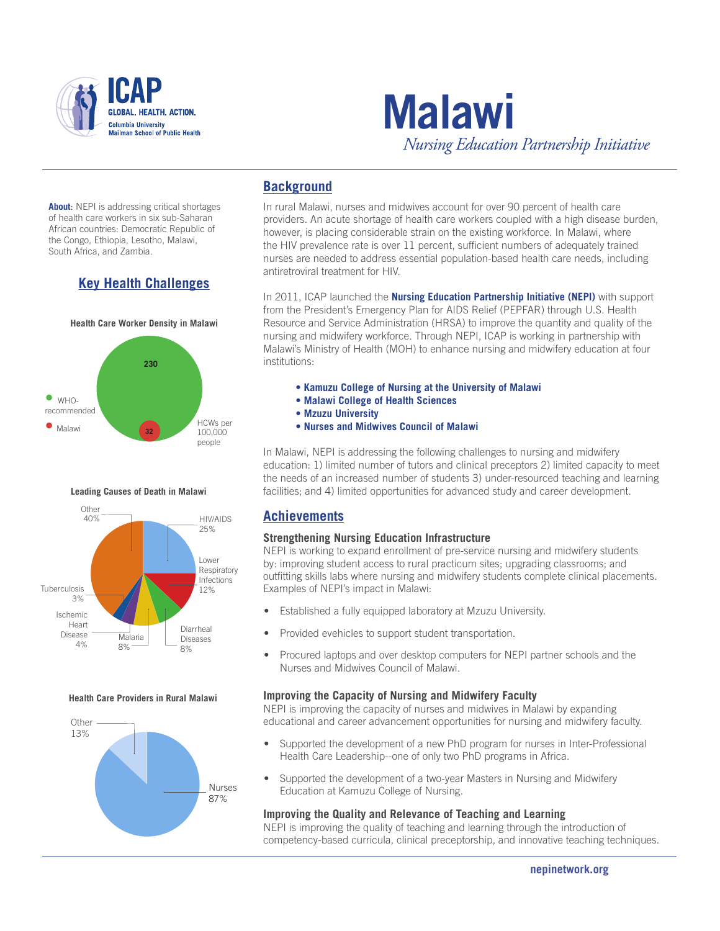



**About**: NEPI is addressing critical shortages of health care workers in six sub-Saharan African countries: Democratic Republic of the Congo, Ethiopia, Lesotho, Malawi, South Africa, and Zambia.

# **Key Health Challenges**



### **Leading Causes of Death in Malawi**



#### **Health Care Providers in Rural Malawi**



# **Background**

In rural Malawi, nurses and midwives account for over 90 percent of health care providers. An acute shortage of health care workers coupled with a high disease burden, however, is placing considerable strain on the existing workforce. In Malawi, where the HIV prevalence rate is over 11 percent, sufficient numbers of adequately trained nurses are needed to address essential population-based health care needs, including antiretroviral treatment for HIV.

In 2011, ICAP launched the **Nursing Education Partnership Initiative (NEPI)** with support from the President's Emergency Plan for AIDS Relief (PEPFAR) through U.S. Health Resource and Service Administration (HRSA) to improve the quantity and quality of the nursing and midwifery workforce. Through NEPI, ICAP is working in partnership with Malawi's Ministry of Health (MOH) to enhance nursing and midwifery education at four institutions:

- **Kamuzu College of Nursing at the University of Malawi**
- **Malawi College of Health Sciences**
- **Mzuzu University**
- **Nurses and Midwives Council of Malawi**

In Malawi, NEPI is addressing the following challenges to nursing and midwifery education: 1) limited number of tutors and clinical preceptors 2) limited capacity to meet the needs of an increased number of students 3) under-resourced teaching and learning facilities; and 4) limited opportunities for advanced study and career development.

# **Achievements**

### **Strengthening Nursing Education Infrastructure**

NEPI is working to expand enrollment of pre-service nursing and midwifery students by: improving student access to rural practicum sites; upgrading classrooms; and outfitting skills labs where nursing and midwifery students complete clinical placements. Examples of NEPI's impact in Malawi:

- Established a fully equipped laboratory at Mzuzu University.
- Provided evehicles to support student transportation.
- Procured laptops and over desktop computers for NEPI partner schools and the Nurses and Midwives Council of Malawi.

### **Improving the Capacity of Nursing and Midwifery Faculty**

NEPI is improving the capacity of nurses and midwives in Malawi by expanding educational and career advancement opportunities for nursing and midwifery faculty.

- Supported the development of a new PhD program for nurses in Inter-Professional Health Care Leadership--one of only two PhD programs in Africa.
- Supported the development of a two-year Masters in Nursing and Midwifery Education at Kamuzu College of Nursing.

### **Improving the Quality and Relevance of Teaching and Learning**

NEPI is improving the quality of teaching and learning through the introduction of competency-based curricula, clinical preceptorship, and innovative teaching techniques.